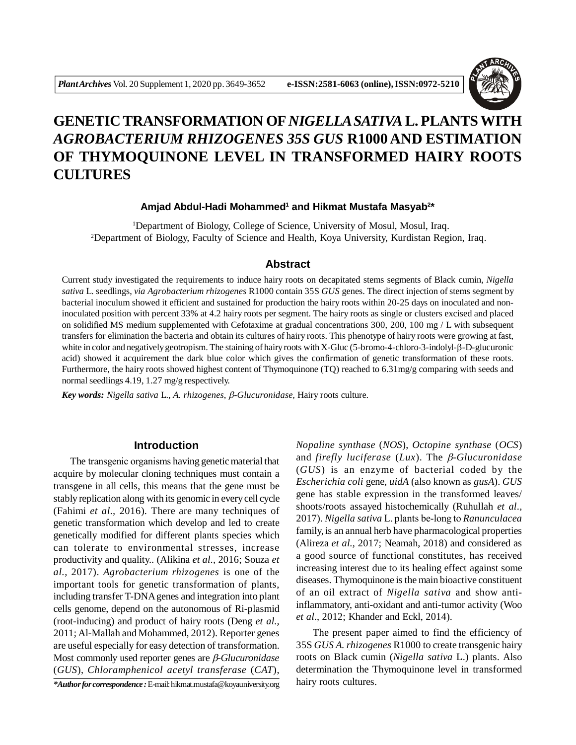

# **GENETIC TRANSFORMATION OF** *NIGELLA SATIVA* **L. PLANTS WITH** *AGROBACTERIUM RHIZOGENES 35S GUS* **R1000 AND ESTIMATION OF THYMOQUINONE LEVEL IN TRANSFORMED HAIRY ROOTS CULTURES**

#### **Amjad Abdul-Hadi Mohammed<sup>1</sup> and Hikmat Mustafa Masyab<sup>2</sup> \***

<sup>1</sup>Department of Biology, College of Science, University of Mosul, Mosul, Iraq. <sup>2</sup>Department of Biology, Faculty of Science and Health, Koya University, Kurdistan Region, Iraq.

# **Abstract**

Current study investigated the requirements to induce hairy roots on decapitated stems segments of Black cumin, *Nigella sativa* L. seedlings, *via Agrobacterium rhizogenes* R1000 contain 35S *GUS* genes. The direct injection of stems segment by bacterial inoculum showed it efficient and sustained for production the hairy roots within 20-25 days on inoculated and noninoculated position with percent 33% at 4.2 hairy roots per segment. The hairy roots as single or clusters excised and placed on solidified MS medium supplemented with Cefotaxime at gradual concentrations 300, 200, 100 mg / L with subsequent transfers for elimination the bacteria and obtain its cultures of hairy roots. This phenotype of hairy roots were growing at fast, white in color and negatively geotropism. The staining of hairy roots with X-Gluc (5-bromo-4-chloro-3-indolyl-β-D-glucuronic acid) showed it acquirement the dark blue color which gives the confirmation of genetic transformation of these roots. Furthermore, the hairy roots showed highest content of Thymoquinone (TQ) reached to 6.31mg/g comparing with seeds and normal seedlings 4.19, 1.27 mg/g respectively.

*Key words: Nigella sativa L., A. rhizogenes, β-Glucuronidase, Hairy roots culture.* 

### **Introduction**

The transgenic organisms having genetic material that acquire by molecular cloning techniques must contain a transgene in all cells, this means that the gene must be stably replication along with its genomic in every cell cycle (Fahimi *et al.,* 2016). There are many techniques of genetic transformation which develop and led to create genetically modified for different plants species which can tolerate to environmental stresses, increase productivity and quality.. (Alikina *et al.,* 2016; Souza *et al.,* 2017). *Agrobacterium rhizogenes* is one of the important tools for genetic transformation of plants, including transfer T-DNA genes and integration into plant cells genome, depend on the autonomous of Ri-plasmid (root-inducing) and product of hairy roots (Deng *et al.,* 2011; Al-Mallah and Mohammed, 2012). Reporter genes are useful especially for easy detection of transformation. Most commonly used reporter genes are *ß*-*Glucuronidase* (*GUS*), *Chloramphenicol acetyl transferase* (*CAT*),

*\*Author for correspondence :* E-mail: hikmat.mustafa@koyauniversity.org

*Nopaline synthase* (*NOS*), *Octopine synthase* (*OCS*) and *firefly luciferase* (*Lux*). The  $\beta$ -Glucuronidase (*GUS*) is an enzyme of bacterial coded by the *Escherichia coli* gene, *uidA* (also known as *gusA*). *GUS* gene has stable expression in the transformed leaves/ shoots/roots assayed histochemically (Ruhullah *et al.,* 2017). *Nigella sativa* L. plants be-long to *Ranunculacea* family, is an annual herb have pharmacological properties (Alireza *et al.,* 2017; Neamah, 2018) and considered as a good source of functional constitutes, has received increasing interest due to its healing effect against some diseases. Thymoquinone is the main bioactive constituent of an oil extract of *Nigella sativa* and show antiinflammatory, anti-oxidant and anti-tumor activity (Woo *et al*., 2012; Khander and Eckl, 2014).

The present paper aimed to find the efficiency of 35S *GUS A. rhizogenes* R1000 to create transgenic hairy roots on Black cumin (*Nigella sativa* L.) plants. Also determination the Thymoquinone level in transformed hairy roots cultures.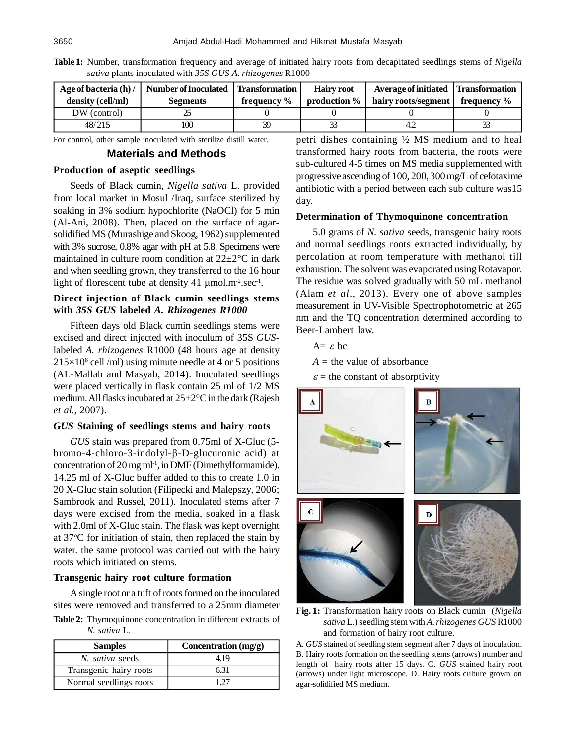| Age of bacteria $(h)$ / | Number of Inoculated   Transformation |             | <b>Hairy root</b> | Average of initiated   Transformation                  |  |
|-------------------------|---------------------------------------|-------------|-------------------|--------------------------------------------------------|--|
| density (cell/ml)       | <b>Segments</b>                       | frequency % |                   | production $\%$   hairy roots/segment   frequency $\%$ |  |
| DW (control)            |                                       |             |                   |                                                        |  |
| 48/215                  | 100                                   | 39          |                   |                                                        |  |

**Table 1:** Number, transformation frequency and average of initiated hairy roots from decapitated seedlings stems of *Nigella sativa* plants inoculated with *35S GUS A. rhizogenes* R1000

For control, other sample inoculated with sterilize distill water.

#### **Materials and Methods**

### **Production of aseptic seedlings**

Seeds of Black cumin, *Nigella sativa* L. provided from local market in Mosul /Iraq, surface sterilized by soaking in 3% sodium hypochlorite (NaOCl) for 5 min (Al-Ani, 2008). Then, placed on the surface of agarsolidified MS (Murashige and Skoog, 1962) supplemented with 3% sucrose, 0.8% agar with pH at 5.8. Specimens were maintained in culture room condition at  $22 \pm 2^{\circ}$ C in dark and when seedling grown, they transferred to the 16 hour light of florescent tube at density 41  $\mu$ mol.m<sup>-2</sup>.sec<sup>-1</sup>.

# **Direct injection of Black cumin seedlings stems with** *35S GUS* **labeled** *A. Rhizogenes R1000*

Fifteen days old Black cumin seedlings stems were excised and direct injected with inoculum of 35S *GUS*labeled *A. rhizogenes* R1000 (48 hours age at density  $215\times10^8$  cell /ml) using minute needle at 4 or 5 positions (AL-Mallah and Masyab, 2014). Inoculated seedlings were placed vertically in flask contain 25 ml of 1/2 MS medium. All flasks incubated at 25±2°C in the dark (Rajesh *et al.,* 2007).

## *GUS* **Staining of seedlings stems and hairy roots**

*GUS* stain was prepared from 0.75ml of X-Gluc (5  $b$ romo-4-chloro-3-indolyl- $\beta$ -D-glucuronic acid) at concentration of  $20 \text{ mg ml}^{-1}$ , in DMF (Dimethylformamide). 14.25 ml of X-Gluc buffer added to this to create 1.0 in 20 X-Gluc stain solution (Filipecki and Malepszy*,* 2006; Sambrook and Russel, 2011). Inoculated stems after 7 days were excised from the media, soaked in a flask with 2.0ml of X-Gluc stain. The flask was kept overnight at  $37^{\circ}$ C for initiation of stain, then replaced the stain by water. the same protocol was carried out with the hairy roots which initiated on stems.

#### **Transgenic hairy root culture formation**

A single root or a tuft of roots formed on the inoculated sites were removed and transferred to a 25mm diameter **Fig. 1:** Transformation hairy roots on Black cumin (*Nigella*

**Table 2:** Thymoquinone concentration in different extracts of *N. sativa* L.

| <b>Samples</b>         | Concentration $(mg/g)$ |  |  |
|------------------------|------------------------|--|--|
| N. sativa seeds        | 4.19                   |  |  |
| Transgenic hairy roots |                        |  |  |
| Normal seedlings roots |                        |  |  |

petri dishes containing ½ MS medium and to heal transformed hairy roots from bacteria, the roots were sub-cultured 4-5 times on MS media supplemented with progressive ascending of 100, 200, 300 mg/L of cefotaxime antibiotic with a period between each sub culture was15 day.

### **Determination of Thymoquinone concentration**

5.0 grams of *N. sativa* seeds, transgenic hairy roots and normal seedlings roots extracted individually, by percolation at room temperature with methanol till exhaustion. The solvent was evaporated using Rotavapor. The residue was solved gradually with 50 mL methanol (Alam *et al*., 2013). Every one of above samples measurement in UV-Visible Spectrophotometric at 265 nm and the TQ concentration determined according to Beer-Lambert law.

$$
A = \varepsilon bc
$$

 $A =$  the value of absorbance

 $\varepsilon$  = the constant of absorptivity



*sativa* L.) seedling stem with *A. rhizogenes GUS* R1000 and formation of hairy root culture.

A. *GUS* stained of seedling stem segment after 7 days of inoculation. B. Hairy roots formation on the seedling stems (arrows) number and length of hairy roots after 15 days. C. *GUS* stained hairy root (arrows) under light microscope. D. Hairy roots culture grown on agar-solidified MS medium.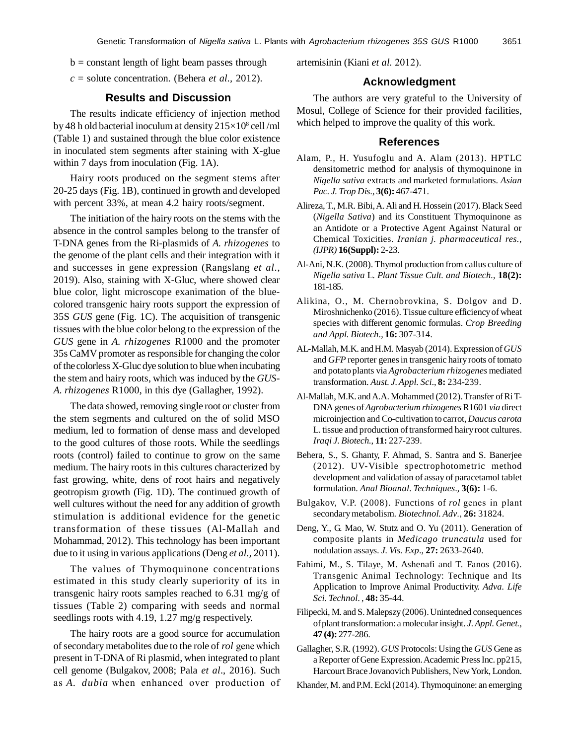$b = constant$  length of light beam passes through

*c* = solute concentration. (Behera *et al.,* 2012).

# **Results and Discussion**

The results indicate efficiency of injection method by 48 h old bacterial inoculum at density  $215\times10^8$  cell/ml (Table 1) and sustained through the blue color existence in inoculated stem segments after staining with X-glue within 7 days from inoculation (Fig. 1A).

Hairy roots produced on the segment stems after 20-25 days (Fig. 1B), continued in growth and developed with percent 33%, at mean 4.2 hairy roots/segment.

The initiation of the hairy roots on the stems with the absence in the control samples belong to the transfer of T-DNA genes from the Ri-plasmids of *A. rhizogenes* to the genome of the plant cells and their integration with it and successes in gene expression (Rangslang *et al*., 2019). Also, staining with X-Gluc, where showed clear blue color, light microscope exanimation of the bluecolored transgenic hairy roots support the expression of 35S *GUS* gene (Fig. 1C). The acquisition of transgenic tissues with the blue color belong to the expression of the *GUS* gene in *A. rhizogenes* R1000 and the promoter 35s CaMV promoter as responsible for changing the color of the colorless X-Gluc dye solution to blue when incubating the stem and hairy roots, which was induced by the *GUS-A. rhizogenes* R1000, in this dye (Gallagher, 1992).

The data showed, removing single root or cluster from the stem segments and cultured on the of solid MSO medium, led to formation of dense mass and developed to the good cultures of those roots. While the seedlings roots (control) failed to continue to grow on the same medium. The hairy roots in this cultures characterized by fast growing, white, dens of root hairs and negatively geotropism growth (Fig. 1D). The continued growth of well cultures without the need for any addition of growth stimulation is additional evidence for the genetic transformation of these tissues (Al-Mallah and Mohammad, 2012). This technology has been important due to it using in various applications (Deng *et al.,* 2011).

The values of Thymoquinone concentrations estimated in this study clearly superiority of its in transgenic hairy roots samples reached to 6.31 mg/g of tissues (Table 2) comparing with seeds and normal seedlings roots with 4.19, 1.27 mg/g respectively.

The hairy roots are a good source for accumulation of secondary metabolites due to the role of *rol* gene which present in T-DNA of Ri plasmid, when integrated to plant cell genome (Bulgakov, 2008; Pala *et al*., 2016). Such as *A. dubia* when enhanced over production of artemisinin (Kiani *et al.* 2012).

#### **Acknowledgment**

The authors are very grateful to the University of Mosul, College of Science for their provided facilities, which helped to improve the quality of this work.

#### **References**

- Alam, P., H. Yusufoglu and A. Alam (2013). HPTLC densitometric method for analysis of thymoquinone in *Nigella sativa* extracts and marketed formulations. *Asian Pac. J. Trop Dis*., **3(6):** 467-471.
- Alireza, T., M.R. Bibi, A. Ali and H. Hossein (2017). Black Seed (*Nigella Sativa*) and its Constituent Thymoquinone as an Antidote or a Protective Agent Against Natural or Chemical Toxicities. *Iranian j. pharmaceutical res., (IJPR)* **16(Suppl):** 2-23.
- Al-Ani, N.K. (2008). Thymol production from callus culture of *Nigella sativa* L. *Plant Tissue Cult. and Biotech.*, **18(2):** 181-185.
- Alikina, O., M. Chernobrovkina, S. Dolgov and D. Miroshnichenko (2016). Tissue culture efficiency of wheat species with different genomic formulas. *Crop Breeding and Appl. Biotech*., **16:** 307-314.
- AL-Mallah, M.K. and H.M. Masyab (2014). Expression of *GUS* and *GFP* reporter genes in transgenic hairy roots of tomato and potato plants via *Agrobacterium rhizogenes* mediated transformation. *Aust. J. Appl. Sci*., **8:** 234-239.
- Al-Mallah, M.K. and A.A. Mohammed (2012). Transfer of Ri T-DNA genes of *Agrobacterium rhizogenes* R1601 *via* direct microinjection and Co-cultivation to carrot, *Daucus carota* L. tissue and production of transformed hairy root cultures. *Iraqi J. Biotech.*, **11:** 227-239.
- Behera, S., S. Ghanty, F. Ahmad, S. Santra and S. Banerjee (2012). UV-Visible spectrophotometric method development and validation of assay of paracetamol tablet formulation. *Anal Bioanal*. *Techniques*., **3(6):** 1-6.
- Bulgakov, V.P. (2008). Functions of *rol* genes in plant secondary metabolism. *Biotechnol. Adv*., **26:** 31824.
- Deng, Y., G. Mao, W. Stutz and O. Yu (2011). Generation of composite plants in *Medicago truncatula* used for nodulation assays. *J. Vis. Exp*., **27:** 2633-2640.
- Fahimi, M., S. Tilaye, M. Ashenafi and T. Fanos (2016). Transgenic Animal Technology: Technique and Its Application to Improve Animal Productivity. *Adva. Life Sci. Technol*. , **48:** 35-44.
- Filipecki, M. and S. Malepszy (2006). Unintedned consequences of plant transformation: a molecular insight. *J. Appl. Genet.,* **47 (4):** 277-286.

Gallagher, S.R. (1992). *GUS* Protocols: Using the *GUS* Gene as a Reporter of Gene Expression. Academic Press Inc. pp215, Harcourt Brace Jovanovich Publishers, New York, London.

Khander, M. and P.M. Eckl (2014). Thymoquinone: an emerging